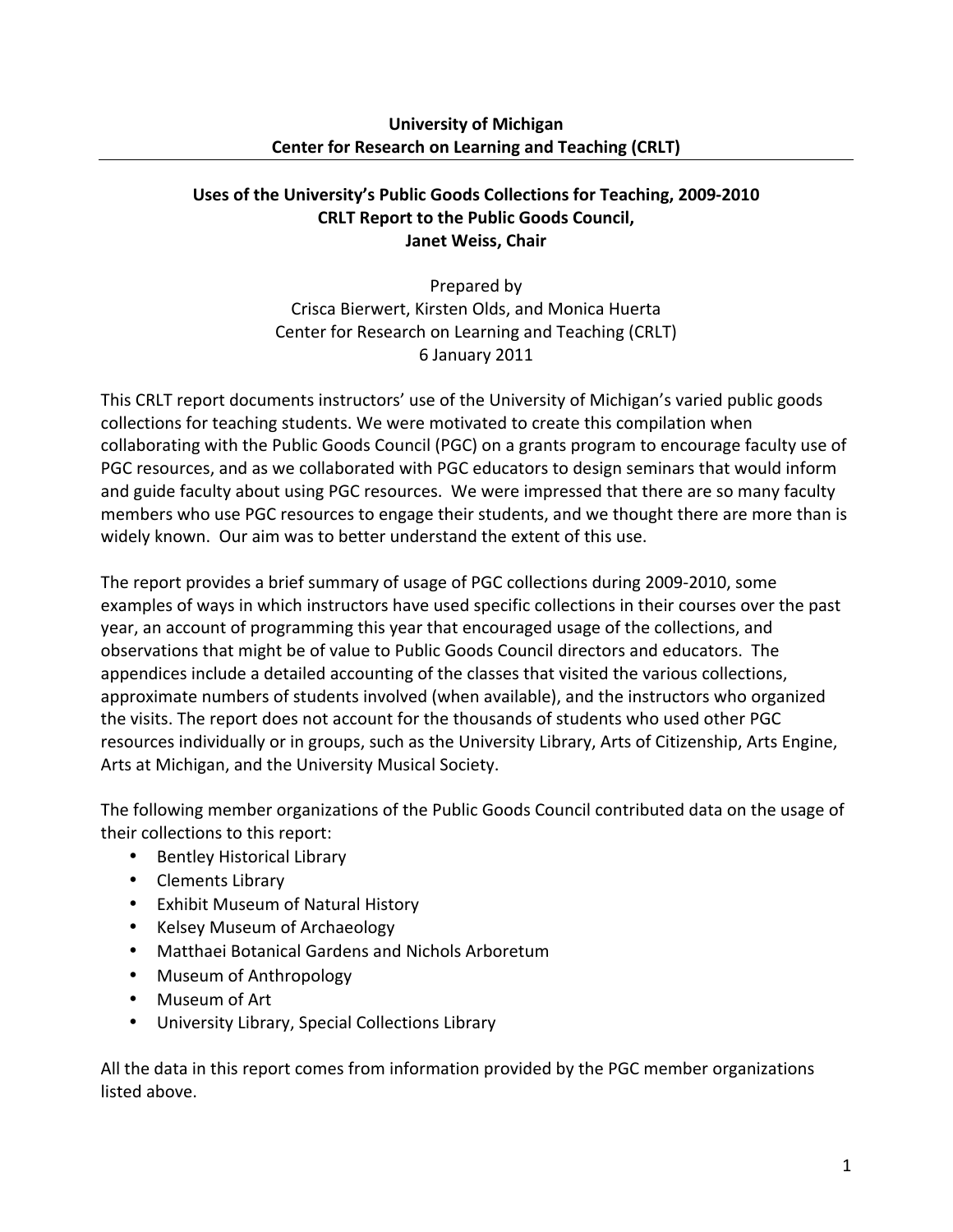### **University of Michigan Center for Research on Learning and Teaching (CRLT)**

## Uses of the University's Public Goods Collections for Teaching, 2009-2010 **CRLT Report to the Public Goods Council, Janet Weiss, Chair**

Prepared by Crisca Bierwert, Kirsten Olds, and Monica Huerta Center for Research on Learning and Teaching (CRLT) 6 January!2011

This CRLT report documents instructors' use of the University of Michigan's varied public goods collections for teaching students. We were motivated to create this compilation when collaborating with the Public Goods Council (PGC) on a grants program to encourage faculty use of PGC resources, and as we collaborated with PGC educators to design seminars that would inform and guide faculty about using PGC resources. We were impressed that there are so many faculty members who use PGC resources to engage their students, and we thought there are more than is widely known. Our aim was to better understand the extent of this use.

The report provides a brief summary of usage of PGC collections during 2009-2010, some examples of ways in which instructors have used specific collections in their courses over the past year, an account of programming this year that encouraged usage of the collections, and observations that might be of value to Public Goods Council directors and educators. The appendices include a detailed accounting of the classes that visited the various collections, approximate numbers of students involved (when available), and the instructors who organized the visits. The report does not account for the thousands of students who used other PGC resources individually or in groups, such as the University Library, Arts of Citizenship, Arts Engine, Arts at Michigan, and the University Musical Society.

The following member organizations of the Public Goods Council contributed data on the usage of their collections to this report:

- Bentley Historical Library
- Clements Library
- Exhibit Museum of Natural History
- Kelsey Museum of Archaeology
- Matthaei Botanical Gardens and Nichols Arboretum
- Museum of Anthropology
- Museum of Art
- University Library, Special Collections Library

All the data in this report comes from information provided by the PGC member organizations listed above.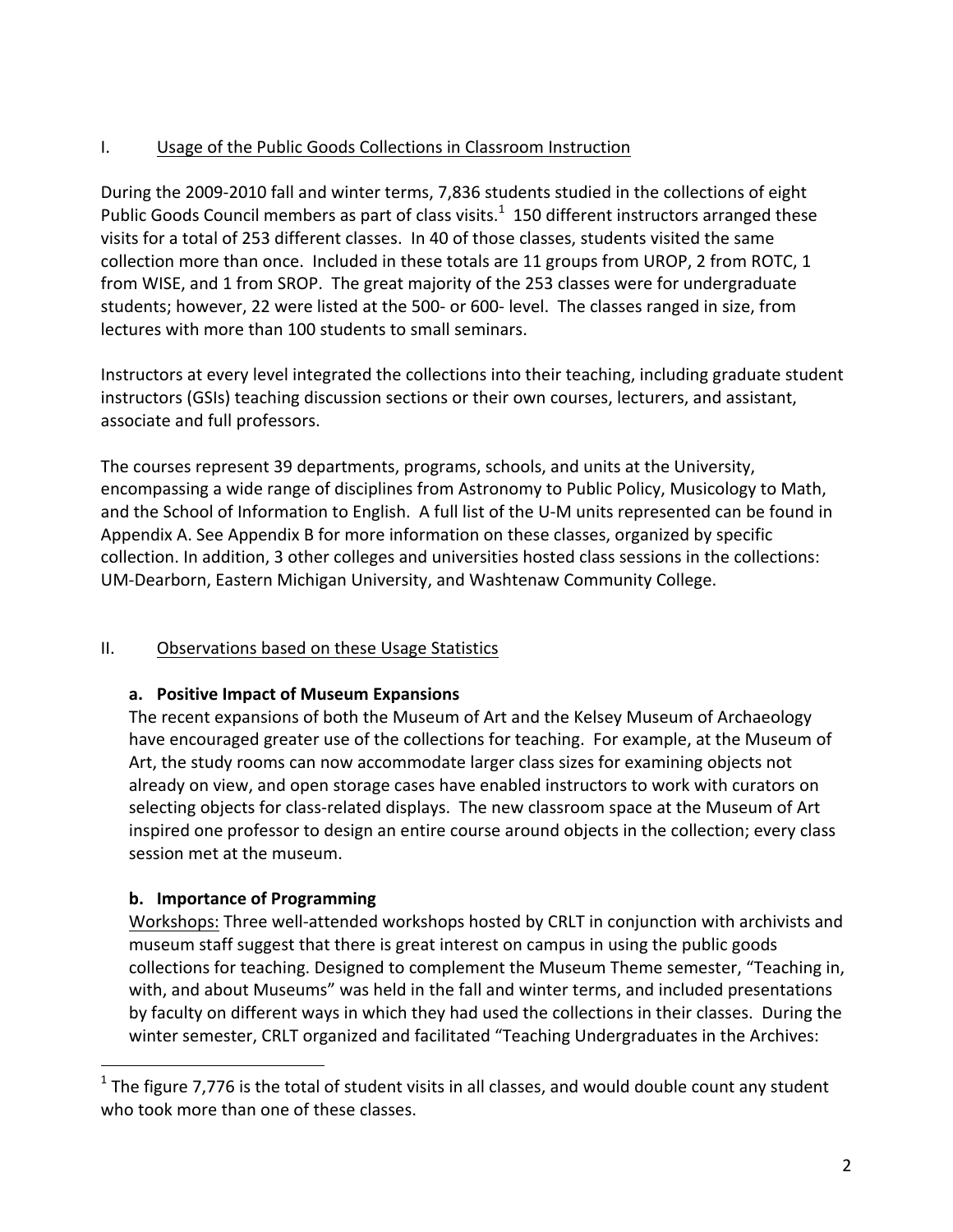# I. Usage of the Public Goods Collections in Classroom Instruction

During the 2009-2010 fall and winter terms, 7,836 students studied in the collections of eight Public Goods Council members as part of class visits. $1$  150 different instructors arranged these visits for a total of 253 different classes. In 40 of those classes, students visited the same collection more than once. Included in these totals are 11 groups from UROP, 2 from ROTC, 1 from WISE, and 1 from SROP. The great majority of the 253 classes were for undergraduate students; however, 22 were listed at the 500- or 600- level. The classes ranged in size, from lectures with more than 100 students to small seminars.

Instructors at every level integrated the collections into their teaching, including graduate student instructors (GSIs) teaching discussion sections or their own courses, lecturers, and assistant, associate and full professors.

The courses represent 39 departments, programs, schools, and units at the University, encompassing a wide range of disciplines from Astronomy to Public Policy, Musicology to Math, and the School of Information to English. A full list of the U-M units represented can be found in Appendix A. See Appendix B for more information on these classes, organized by specific collection. In addition, 3 other colleges and universities hosted class sessions in the collections: UM-Dearborn, Eastern Michigan University, and Washtenaw Community College.

### II. Observations based on these Usage Statistics

### **a. Positive\*Impact\*of\*Museum\*Expansions**

The recent expansions of both the Museum of Art and the Kelsey Museum of Archaeology have encouraged greater use of the collections for teaching. For example, at the Museum of Art, the study rooms can now accommodate larger class sizes for examining objects not already on view, and open storage cases have enabled instructors to work with curators on selecting objects for class-related displays. The new classroom space at the Museum of Art inspired one professor to design an entire course around objects in the collection; every class session met at the museum.

# **b.** Importance of Programming

!!!!!!!!!!!!!!!!!!!!!!!!!!!!!!!!!!!!!!!!!!!!!!!!!!!!!!

Workshops: Three well-attended workshops hosted by CRLT in conjunction with archivists and museum staff suggest that there is great interest on campus in using the public goods collections for teaching. Designed to complement the Museum Theme semester, "Teaching in, with, and about Museums" was held in the fall and winter terms, and included presentations by faculty on different ways in which they had used the collections in their classes. During the winter semester, CRLT organized and facilitated "Teaching Undergraduates in the Archives:

 $1$  The figure 7,776 is the total of student visits in all classes, and would double count any student who took more than one of these classes.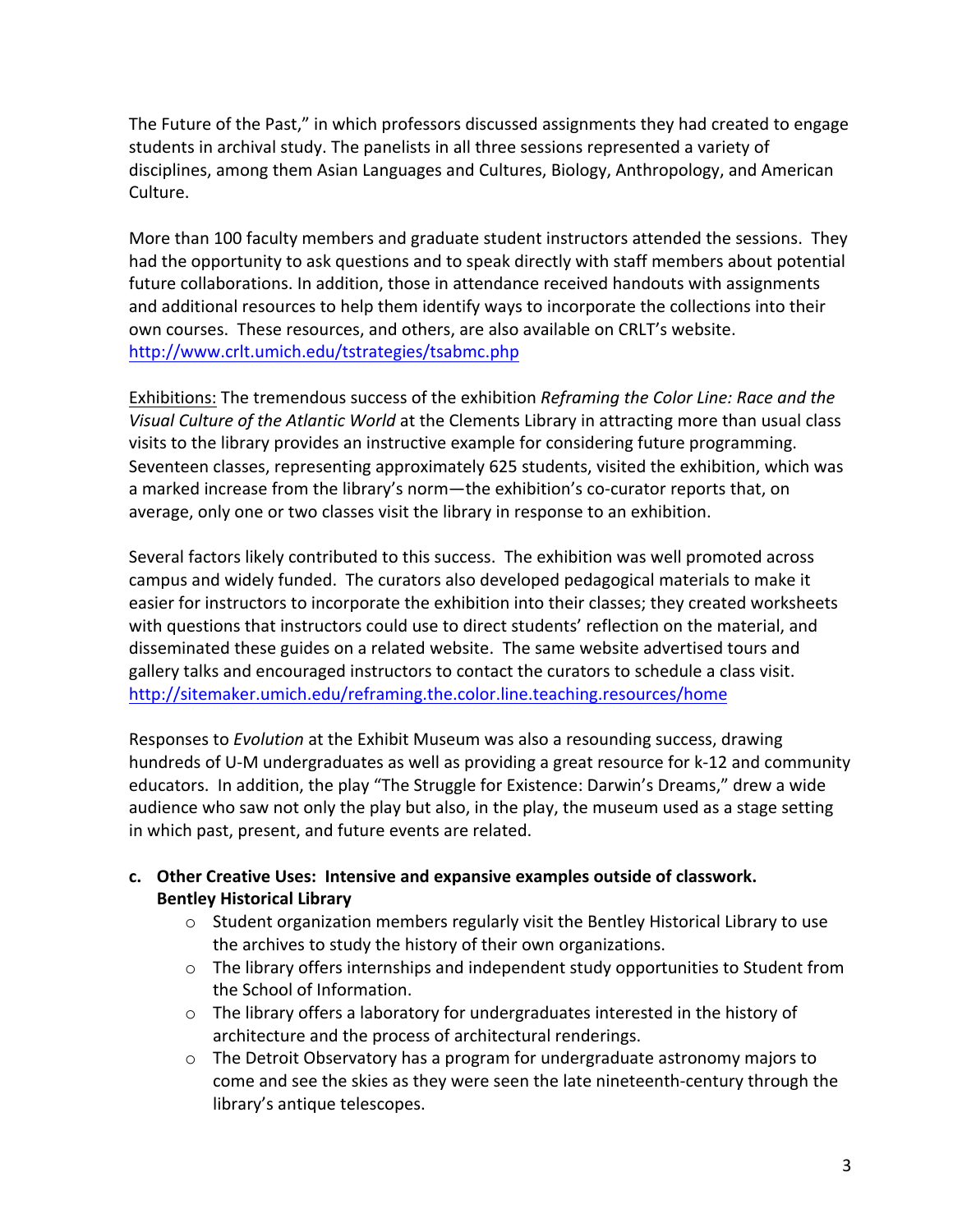The Future of the Past," in which professors discussed assignments they had created to engage students in archival study. The panelists in all three sessions represented a variety of disciplines, among them Asian Languages and Cultures, Biology, Anthropology, and American Culture.

More than 100 faculty members and graduate student instructors attended the sessions. They had the opportunity to ask questions and to speak directly with staff members about potential future collaborations. In addition, those in attendance received handouts with assignments and additional resources to help them identify ways to incorporate the collections into their own courses. These resources, and others, are also available on CRLT's website. http://www.crlt.umich.edu/tstrategies/tsabmc.php

Exhibitions: The tremendous success of the exhibition *Reframing the Color Line: Race and the* Visual Culture of the Atlantic World at the Clements Library in attracting more than usual class visits to the library provides an instructive example for considering future programming. Seventeen classes, representing approximately 625 students, visited the exhibition, which was a marked increase from the library's norm—the exhibition's co-curator reports that, on average, only one or two classes visit the library in response to an exhibition.

Several factors likely contributed to this success. The exhibition was well promoted across campus and widely funded. The curators also developed pedagogical materials to make it easier for instructors to incorporate the exhibition into their classes; they created worksheets with questions that instructors could use to direct students' reflection on the material, and disseminated these guides on a related website. The same website advertised tours and gallery talks and encouraged instructors to contact the curators to schedule a class visit. http://sitemaker.umich.edu/reframing.the.color.line.teaching.resources/home

Responses to *Evolution* at the Exhibit Museum was also a resounding success, drawing hundreds of U-M undergraduates as well as providing a great resource for k-12 and community educators. In addition, the play "The Struggle for Existence: Darwin's Dreams," drew a wide audience who saw not only the play but also, in the play, the museum used as a stage setting in which past, present, and future events are related.

- **c. Other\*Creative\*Uses:\*\*Intensive\*and\*expansive\*examples\*outside\*of\*classwork. Bentley Historical Library** 
	- $\circ$  Student organization members regularly visit the Bentley Historical Library to use the archives to study the history of their own organizations.
	- $\circ$  The library offers internships and independent study opportunities to Student from the School of Information.
	- $\circ$  The library offers a laboratory for undergraduates interested in the history of architecture and the process of architectural renderings.
	- $\circ$  The Detroit Observatory has a program for undergraduate astronomy majors to come and see the skies as they were seen the late nineteenth-century through the library's antique telescopes.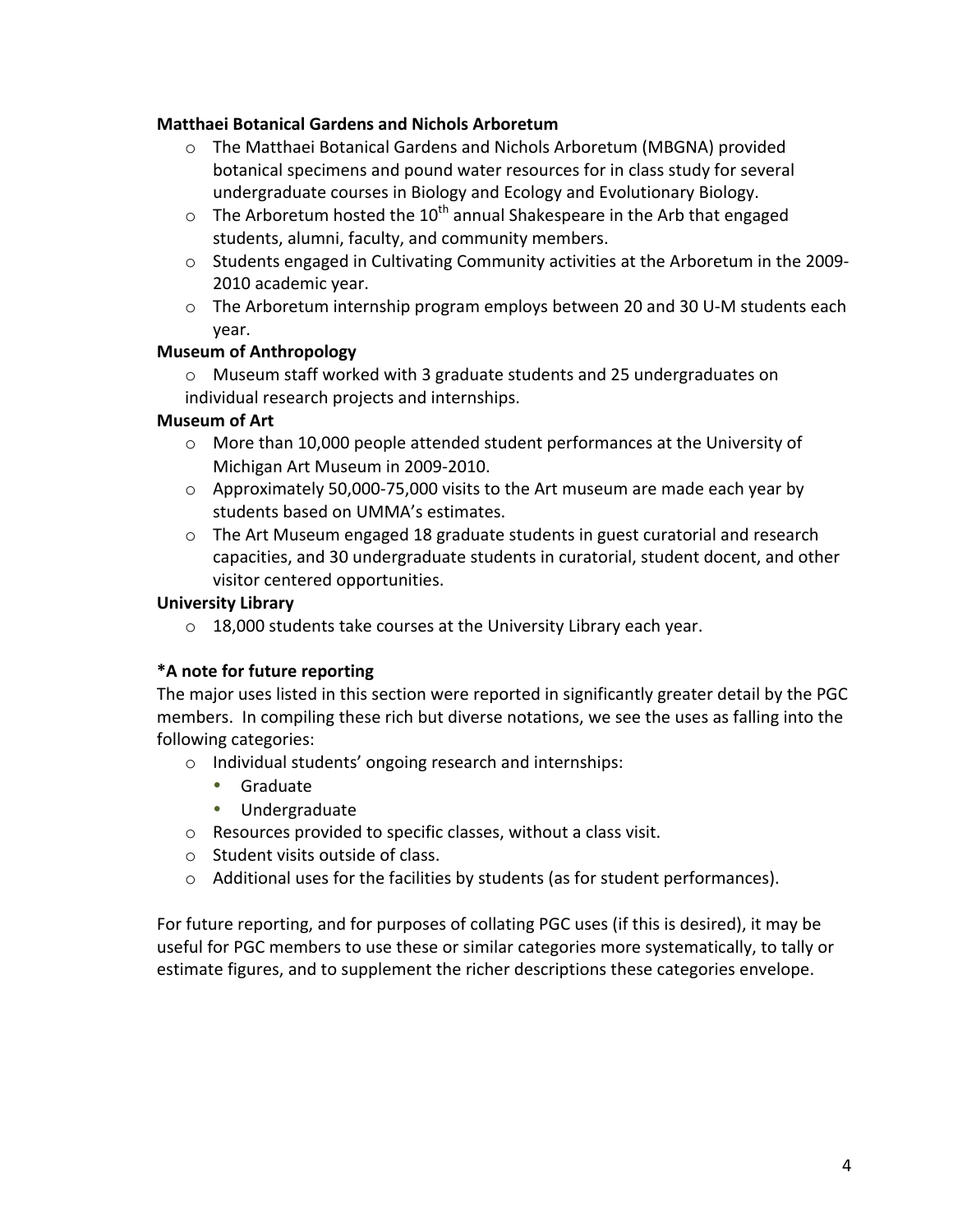#### **Matthaei Botanical Gardens and Nichols Arboretum**

- $\circ$  The Matthaei Botanical Gardens and Nichols Arboretum (MBGNA) provided botanical specimens and pound water resources for in class study for several undergraduate courses in Biology and Ecology and Evolutionary Biology.
- $\circ$  The Arboretum hosted the 10<sup>th</sup> annual Shakespeare in the Arb that engaged students, alumni, faculty, and community members.
- $\circ$  Students engaged in Cultivating Community activities at the Arboretum in the 2009-2010 academic year.
- $\circ$  The Arboretum internship program employs between 20 and 30 U-M students each year.

#### **Museum of Anthropology**

 $\circ$  Museum staff worked with 3 graduate students and 25 undergraduates on individual research projects and internships.

### **Museum of Art**

- $\circ$  More than 10,000 people attended student performances at the University of Michigan Art Museum in 2009-2010.
- $\circ$  Approximately 50,000-75,000 visits to the Art museum are made each year by students based on UMMA's estimates.
- $\circ$  The Art Museum engaged 18 graduate students in guest curatorial and research capacities, and 30 undergraduate students in curatorial, student docent, and other visitor centered opportunities.

#### **University Library**

 $\circ$  18,000 students take courses at the University Library each year.

### \*A note for future reporting

The major uses listed in this section were reported in significantly greater detail by the PGC members. In compiling these rich but diverse notations, we see the uses as falling into the following categories:

- $\circ$  Individual students' ongoing research and internships:
	- Graduate
	- Undergraduate
- $\circ$  Resources provided to specific classes, without a class visit.
- $\circ$  Student visits outside of class.
- $\circ$  Additional uses for the facilities by students (as for student performances).

For future reporting, and for purposes of collating PGC uses (if this is desired), it may be useful for PGC members to use these or similar categories more systematically, to tally or estimate figures, and to supplement the richer descriptions these categories envelope.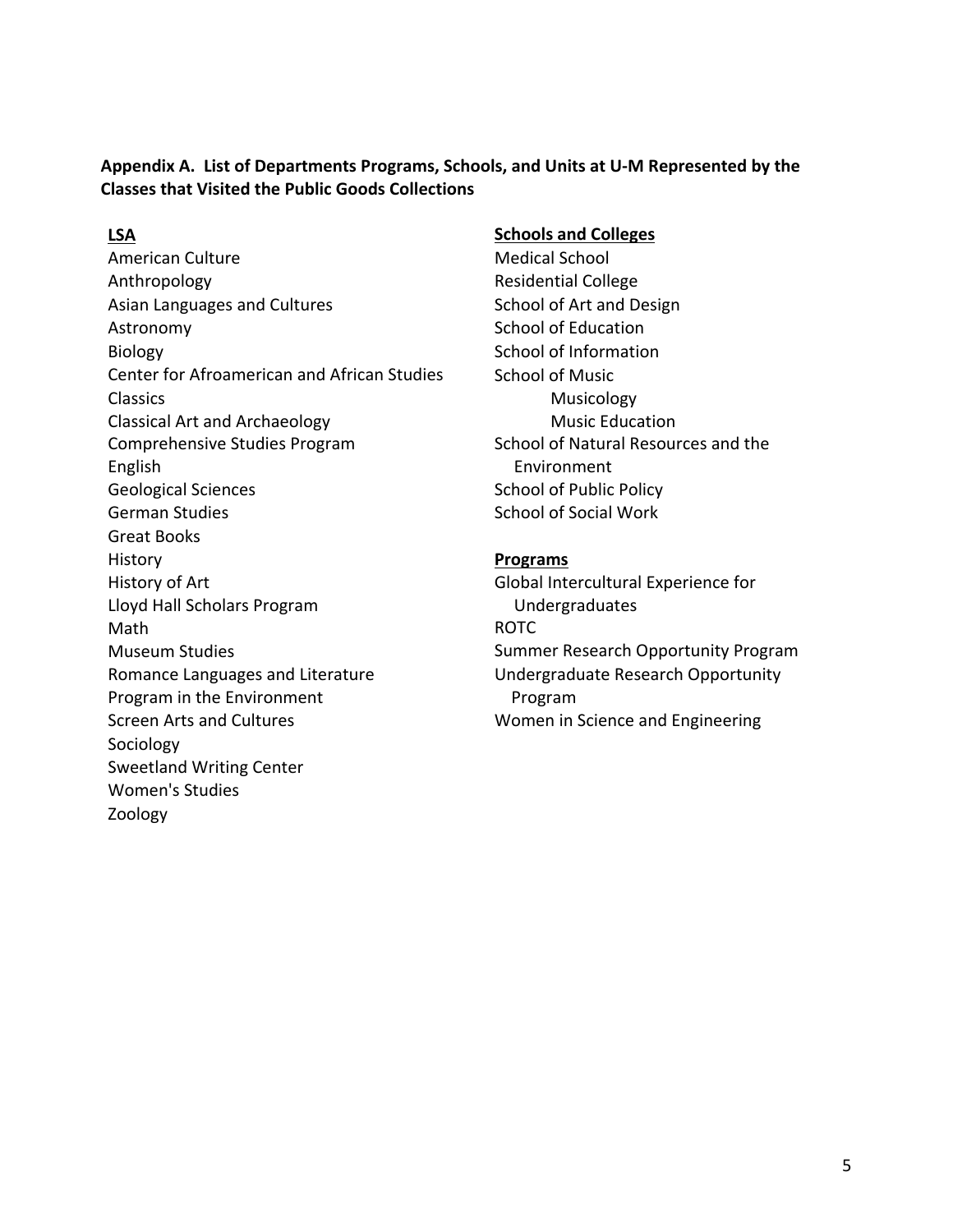Appendix A. List of Departments Programs, Schools, and Units at U-M Represented by the **Classes that Visited the Public Goods Collections** 

American Culture **Medical School** Anthropology **Anthropology Residential College** Asian Languages and Cultures School of Art and Design Astronomy School of Education Biology School of Information Center for Afroamerican and African Studies School of Music Classics Classical!Art!and!Archaeology Comprehensive Studies Program School of Natural Resources and the English Environment Geological Sciences School of Public Policy German Studies School of Social Work Great Books History **Programs** History of Art Global Intercultural Experience for Lloyd Hall Scholars Program Undergraduates Math **Math** ROTC Museum Studies Summer Research Opportunity Program Romance Languages and Literature Undergraduate Research Opportunity Program in the Environment **Interpretent in the Environment Program** Screen Arts and Cultures Screen Arts and Cultures Women in Science and Engineering Sociology Sweetland Writing Center Women's Studies Zoology

#### **LSA Schools** and Colleges

Musicology Music!Education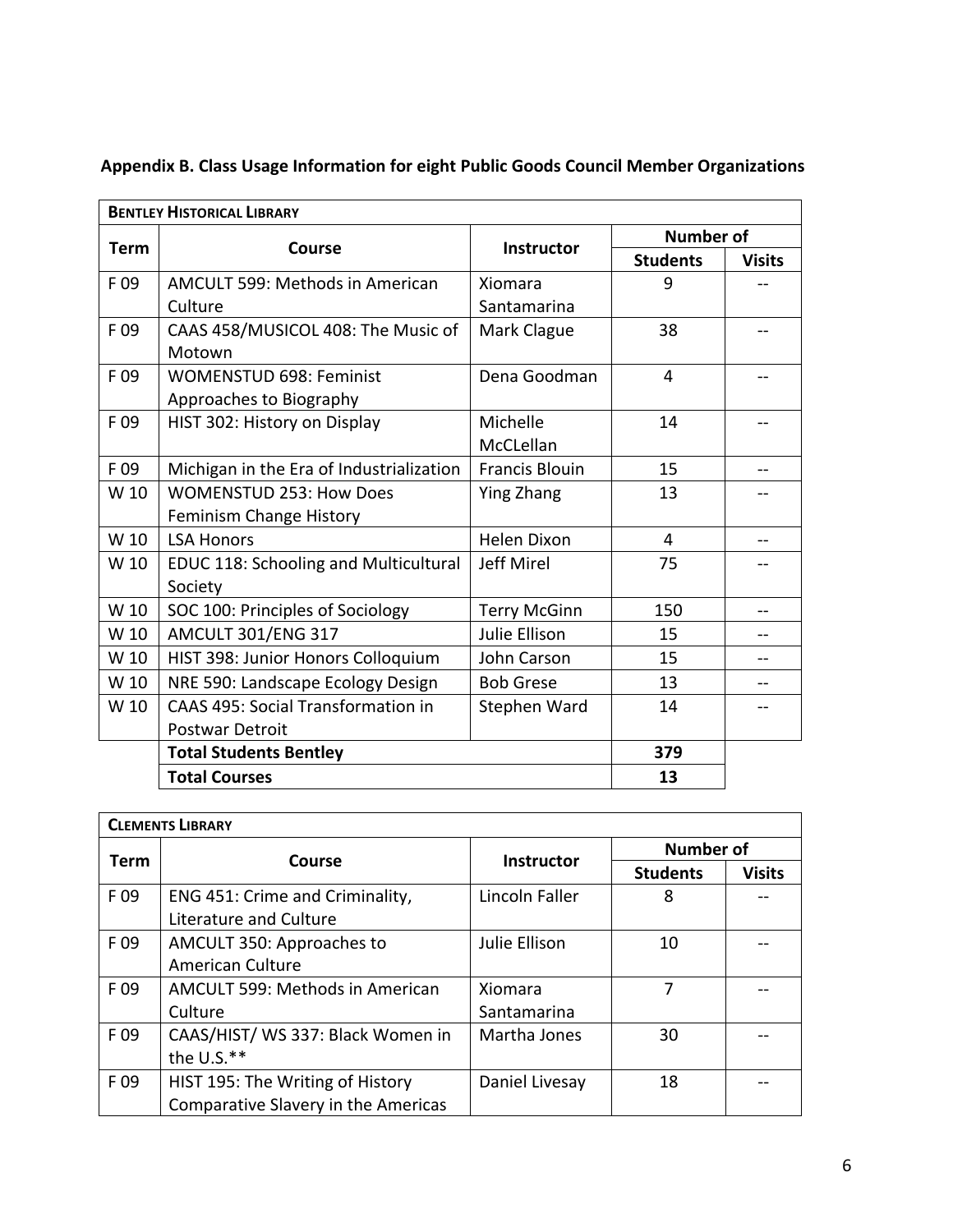| <b>BENTLEY HISTORICAL LIBRARY</b> |                                           |                       |                  |               |
|-----------------------------------|-------------------------------------------|-----------------------|------------------|---------------|
| <b>Term</b>                       | <b>Course</b>                             | <b>Instructor</b>     | <b>Number of</b> |               |
|                                   |                                           |                       | <b>Students</b>  | <b>Visits</b> |
| F 09                              | AMCULT 599: Methods in American           | Xiomara               | 9                |               |
|                                   | Culture                                   | Santamarina           |                  |               |
| F 09                              | CAAS 458/MUSICOL 408: The Music of        | Mark Clague           | 38               |               |
|                                   | Motown                                    |                       |                  |               |
| F 09                              | <b>WOMENSTUD 698: Feminist</b>            | Dena Goodman          | 4                |               |
|                                   | Approaches to Biography                   |                       |                  |               |
| F09                               | HIST 302: History on Display              | Michelle              | 14               |               |
|                                   |                                           | McCLellan             |                  |               |
| F 09                              | Michigan in the Era of Industrialization  | <b>Francis Blouin</b> | 15               | $-$           |
| W 10                              | <b>WOMENSTUD 253: How Does</b>            | Ying Zhang            | 13               |               |
|                                   | Feminism Change History                   |                       |                  |               |
| W 10                              | <b>LSA Honors</b>                         | <b>Helen Dixon</b>    | 4                |               |
| W 10                              | EDUC 118: Schooling and Multicultural     | <b>Jeff Mirel</b>     | 75               |               |
|                                   | Society                                   |                       |                  |               |
| W 10                              | SOC 100: Principles of Sociology          | <b>Terry McGinn</b>   | 150              |               |
| W 10                              | <b>AMCULT 301/ENG 317</b>                 | Julie Ellison         | 15               |               |
| W 10                              | HIST 398: Junior Honors Colloquium        | John Carson           | 15               |               |
| W 10                              | NRE 590: Landscape Ecology Design         | <b>Bob Grese</b>      | 13               |               |
| W 10                              | <b>CAAS 495: Social Transformation in</b> | Stephen Ward          | 14               |               |
|                                   | Postwar Detroit                           |                       |                  |               |
|                                   | <b>Total Students Bentley</b>             |                       | 379              |               |
|                                   | <b>Total Courses</b>                      |                       | 13               |               |

# **Appendix\*B. Class\*Usage\*Information\*for\*eight Public\*Goods\*Council\*Member\*Organizations**

| <b>CLEMENTS LIBRARY</b> |                                     |                   |                 |                  |  |
|-------------------------|-------------------------------------|-------------------|-----------------|------------------|--|
|                         | Course                              |                   |                 | <b>Number of</b> |  |
| <b>Term</b>             |                                     | <b>Instructor</b> | <b>Students</b> | <b>Visits</b>    |  |
| F 09                    | ENG 451: Crime and Criminality,     | Lincoln Faller    | 8               |                  |  |
|                         | Literature and Culture              |                   |                 |                  |  |
| F09                     | AMCULT 350: Approaches to           | Julie Ellison     | 10              |                  |  |
|                         | <b>American Culture</b>             |                   |                 |                  |  |
| F 09                    | AMCULT 599: Methods in American     | Xiomara           | 7               |                  |  |
|                         | Culture                             | Santamarina       |                 |                  |  |
| F 09                    | CAAS/HIST/ WS 337: Black Women in   | Martha Jones      | 30              |                  |  |
|                         | the U.S.**                          |                   |                 |                  |  |
| F 09                    | HIST 195: The Writing of History    | Daniel Livesay    | 18              |                  |  |
|                         | Comparative Slavery in the Americas |                   |                 |                  |  |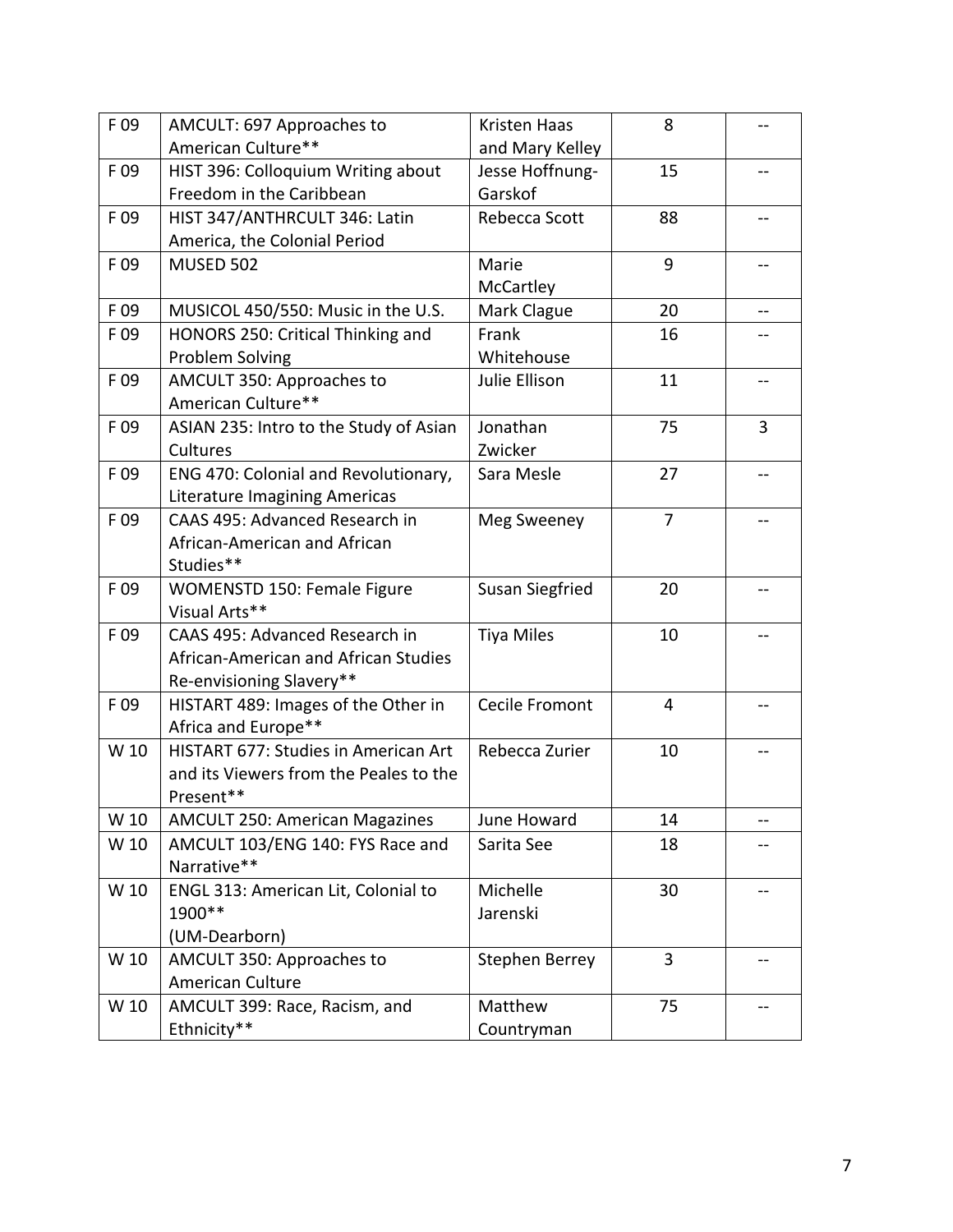| F 09 | AMCULT: 697 Approaches to              | <b>Kristen Haas</b>    | 8  |                |
|------|----------------------------------------|------------------------|----|----------------|
|      | American Culture**                     | and Mary Kelley        |    |                |
| F 09 | HIST 396: Colloquium Writing about     | Jesse Hoffnung-        | 15 |                |
|      | Freedom in the Caribbean               | Garskof                |    |                |
| F09  | HIST 347/ANTHRCULT 346: Latin          | Rebecca Scott          | 88 |                |
|      | America, the Colonial Period           |                        |    |                |
| F 09 | <b>MUSED 502</b>                       | Marie                  | 9  |                |
|      |                                        | McCartley              |    |                |
| F 09 | MUSICOL 450/550: Music in the U.S.     | Mark Clague            | 20 |                |
| F 09 | HONORS 250: Critical Thinking and      | Frank                  | 16 |                |
|      | Problem Solving                        | Whitehouse             |    |                |
| F 09 | AMCULT 350: Approaches to              | Julie Ellison          | 11 |                |
|      | American Culture**                     |                        |    |                |
| F 09 | ASIAN 235: Intro to the Study of Asian | Jonathan               | 75 | $\overline{3}$ |
|      | Cultures                               | Zwicker                |    |                |
| F 09 | ENG 470: Colonial and Revolutionary,   | Sara Mesle             | 27 |                |
|      | <b>Literature Imagining Americas</b>   |                        |    |                |
| F 09 | CAAS 495: Advanced Research in         | Meg Sweeney            | 7  |                |
|      | African-American and African           |                        |    |                |
|      | Studies**                              |                        |    |                |
| F 09 | WOMENSTD 150: Female Figure            | <b>Susan Siegfried</b> | 20 |                |
|      | Visual Arts**                          |                        |    |                |
| F 09 | CAAS 495: Advanced Research in         | <b>Tiya Miles</b>      | 10 |                |
|      | African-American and African Studies   |                        |    |                |
|      | Re-envisioning Slavery**               |                        |    |                |
| F 09 | HISTART 489: Images of the Other in    | Cecile Fromont         | 4  |                |
|      | Africa and Europe**                    |                        |    |                |
| W 10 | HISTART 677: Studies in American Art   | Rebecca Zurier         | 10 |                |
|      | and its Viewers from the Peales to the |                        |    |                |
|      | Present**                              |                        |    |                |
| W 10 | <b>AMCULT 250: American Magazines</b>  | June Howard            | 14 | --             |
| W 10 | AMCULT 103/ENG 140: FYS Race and       | Sarita See             | 18 |                |
|      | Narrative**                            |                        |    |                |
| W 10 | ENGL 313: American Lit, Colonial to    | Michelle               | 30 |                |
|      | 1900**                                 | Jarenski               |    |                |
|      | (UM-Dearborn)                          |                        |    |                |
| W 10 | AMCULT 350: Approaches to              | <b>Stephen Berrey</b>  | 3  |                |
|      | American Culture                       |                        |    |                |
| W 10 | AMCULT 399: Race, Racism, and          | Matthew                | 75 |                |
|      | Ethnicity**                            | Countryman             |    |                |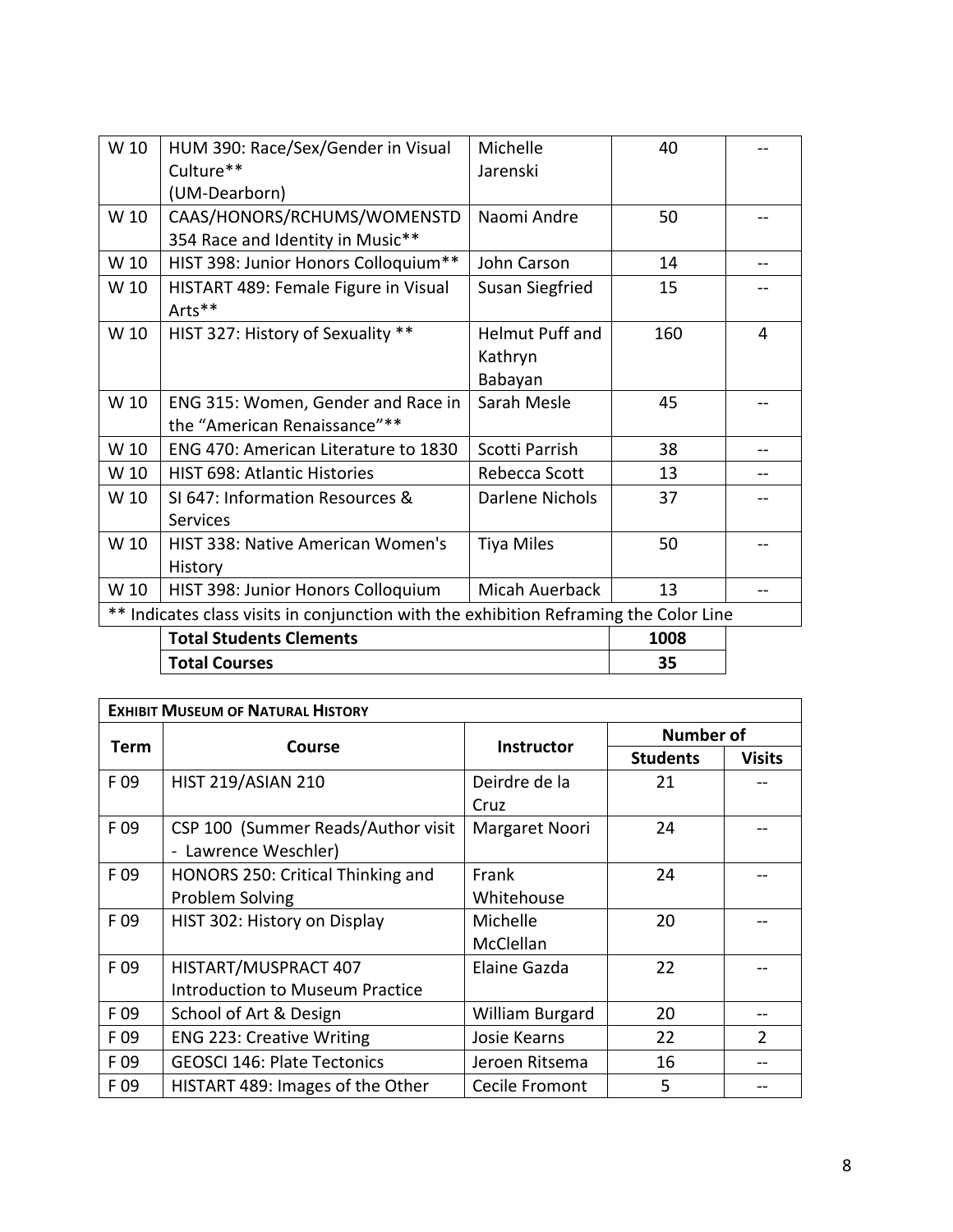| W 10 | HUM 390: Race/Sex/Gender in Visual                                                 | Michelle               | 40   |   |
|------|------------------------------------------------------------------------------------|------------------------|------|---|
|      | Culture**                                                                          | Jarenski               |      |   |
|      | (UM-Dearborn)                                                                      |                        |      |   |
| W 10 | CAAS/HONORS/RCHUMS/WOMENSTD                                                        | Naomi Andre            | 50   |   |
|      | 354 Race and Identity in Music**                                                   |                        |      |   |
| W 10 | HIST 398: Junior Honors Colloquium**                                               | John Carson            | 14   |   |
| W 10 | HISTART 489: Female Figure in Visual                                               | Susan Siegfried        | 15   |   |
|      | Arts**                                                                             |                        |      |   |
| W 10 | HIST 327: History of Sexuality **                                                  | <b>Helmut Puff and</b> | 160  | 4 |
|      |                                                                                    | Kathryn                |      |   |
|      |                                                                                    | Babayan                |      |   |
| W 10 | ENG 315: Women, Gender and Race in                                                 | Sarah Mesle            | 45   |   |
|      | the "American Renaissance"**                                                       |                        |      |   |
| W 10 | ENG 470: American Literature to 1830                                               | Scotti Parrish         | 38   |   |
| W 10 | <b>HIST 698: Atlantic Histories</b>                                                | Rebecca Scott          | 13   |   |
| W 10 | SI 647: Information Resources &                                                    | Darlene Nichols        | 37   |   |
|      | Services                                                                           |                        |      |   |
| W 10 | <b>HIST 338: Native American Women's</b>                                           | <b>Tiya Miles</b>      | 50   |   |
|      | History                                                                            |                        |      |   |
| W 10 | HIST 398: Junior Honors Colloquium                                                 | Micah Auerback         | 13   |   |
|      | Indicates class visits in conjunction with the exhibition Reframing the Color Line |                        |      |   |
|      | <b>Total Students Clements</b>                                                     |                        | 1008 |   |
|      | <b>Total Courses</b>                                                               |                        | 35   |   |

| <b>EXHIBIT MUSEUM OF NATURAL HISTORY</b> |                                        |                   |                  |                |  |
|------------------------------------------|----------------------------------------|-------------------|------------------|----------------|--|
| Term                                     | Course                                 | <b>Instructor</b> | <b>Number of</b> |                |  |
|                                          |                                        |                   | <b>Students</b>  | <b>Visits</b>  |  |
| F 09                                     | <b>HIST 219/ASIAN 210</b>              | Deirdre de la     | 21               |                |  |
|                                          |                                        | Cruz              |                  |                |  |
| F 09                                     | CSP 100 (Summer Reads/Author visit     | Margaret Noori    | 24               |                |  |
|                                          | - Lawrence Weschler)                   |                   |                  |                |  |
| F 09                                     | HONORS 250: Critical Thinking and      | Frank             | 24               |                |  |
|                                          | Problem Solving                        | Whitehouse        |                  |                |  |
| F 09                                     | HIST 302: History on Display           | Michelle          | 20               |                |  |
|                                          |                                        | McClellan         |                  |                |  |
| F 09                                     | HISTART/MUSPRACT 407                   | Elaine Gazda      | 22               |                |  |
|                                          | <b>Introduction to Museum Practice</b> |                   |                  |                |  |
| F 09                                     | School of Art & Design                 | William Burgard   | 20               |                |  |
| F 09                                     | <b>ENG 223: Creative Writing</b>       | Josie Kearns      | 22               | $\mathfrak{D}$ |  |
| F 09                                     | <b>GEOSCI 146: Plate Tectonics</b>     | Jeroen Ritsema    | 16               |                |  |
| F09                                      | HISTART 489: Images of the Other       | Cecile Fromont    | 5                |                |  |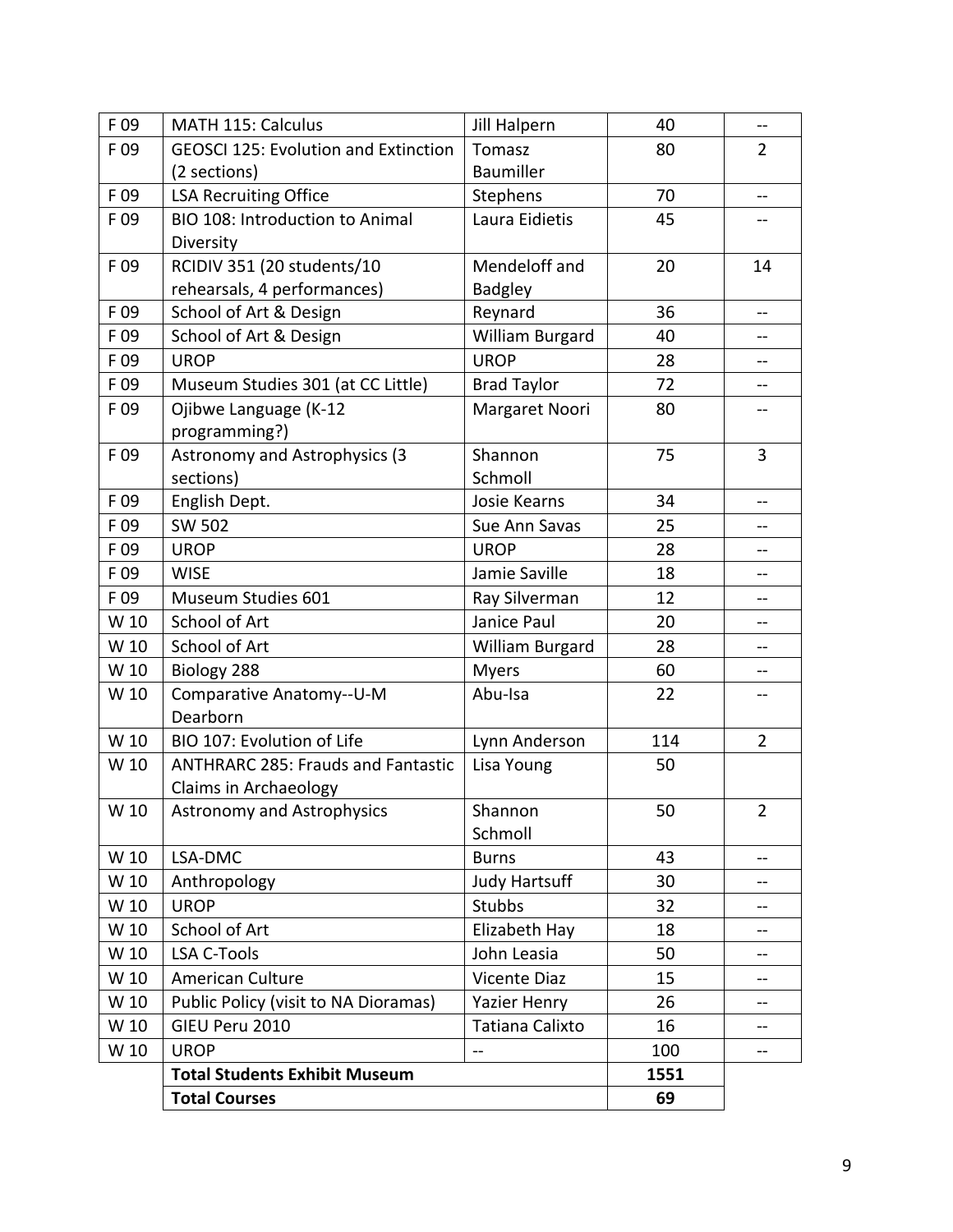| F 09 | MATH 115: Calculus                          | <b>Jill Halpern</b>  | 40   | --             |
|------|---------------------------------------------|----------------------|------|----------------|
| F 09 | <b>GEOSCI 125: Evolution and Extinction</b> | Tomasz               | 80   | $\overline{2}$ |
|      | (2 sections)                                | Baumiller            |      |                |
| F 09 | <b>LSA Recruiting Office</b>                | Stephens             | 70   | $-1$           |
| F 09 | BIO 108: Introduction to Animal             | Laura Eidietis       | 45   |                |
|      | Diversity                                   |                      |      |                |
| F 09 | RCIDIV 351 (20 students/10                  | Mendeloff and        | 20   | 14             |
|      | rehearsals, 4 performances)                 | <b>Badgley</b>       |      |                |
| F 09 | School of Art & Design                      | Reynard              | 36   | --             |
| F09  | School of Art & Design                      | William Burgard      | 40   | --             |
| F 09 | <b>UROP</b>                                 | <b>UROP</b>          | 28   | --             |
| F 09 | Museum Studies 301 (at CC Little)           | <b>Brad Taylor</b>   | 72   | --             |
| F09  | Ojibwe Language (K-12                       | Margaret Noori       | 80   |                |
|      | programming?)                               |                      |      |                |
| F 09 | Astronomy and Astrophysics (3               | Shannon              | 75   | $\overline{3}$ |
|      | sections)                                   | Schmoll              |      |                |
| F 09 | English Dept.                               | Josie Kearns         | 34   |                |
| F 09 | <b>SW 502</b>                               | Sue Ann Savas        | 25   | --             |
| F 09 | <b>UROP</b>                                 | <b>UROP</b>          | 28   | --             |
| F 09 | <b>WISE</b>                                 | Jamie Saville        | 18   |                |
| F 09 | Museum Studies 601                          | Ray Silverman        | 12   | --             |
| W 10 | School of Art                               | Janice Paul          | 20   | --             |
| W 10 | School of Art                               | William Burgard      | 28   |                |
| W 10 | Biology 288                                 | <b>Myers</b>         | 60   | --             |
| W 10 | Comparative Anatomy--U-M                    | Abu-Isa              | 22   |                |
|      | Dearborn                                    |                      |      |                |
| W 10 | BIO 107: Evolution of Life                  | Lynn Anderson        | 114  | $\overline{2}$ |
| W 10 | <b>ANTHRARC 285: Frauds and Fantastic</b>   | Lisa Young           | 50   |                |
|      | Claims in Archaeology                       |                      |      |                |
| W 10 | <b>Astronomy and Astrophysics</b>           | Shannon              | 50   | $\overline{2}$ |
|      |                                             | Schmoll              |      |                |
| W 10 | LSA-DMC                                     | <b>Burns</b>         | 43   | --             |
| W 10 | Anthropology                                | <b>Judy Hartsuff</b> | 30   |                |
| W 10 | <b>UROP</b>                                 | <b>Stubbs</b>        | 32   | --             |
| W 10 | School of Art                               | Elizabeth Hay        | 18   | --             |
| W 10 | <b>LSA C-Tools</b>                          | John Leasia          | 50   |                |
| W 10 | American Culture                            | Vicente Diaz         | 15   | --             |
| W 10 | Public Policy (visit to NA Dioramas)        | <b>Yazier Henry</b>  | 26   |                |
| W 10 | GIEU Peru 2010                              | Tatiana Calixto      | 16   |                |
| W 10 | <b>UROP</b>                                 | $-$                  | 100  | --             |
|      | <b>Total Students Exhibit Museum</b>        |                      | 1551 |                |
|      | <b>Total Courses</b>                        |                      | 69   |                |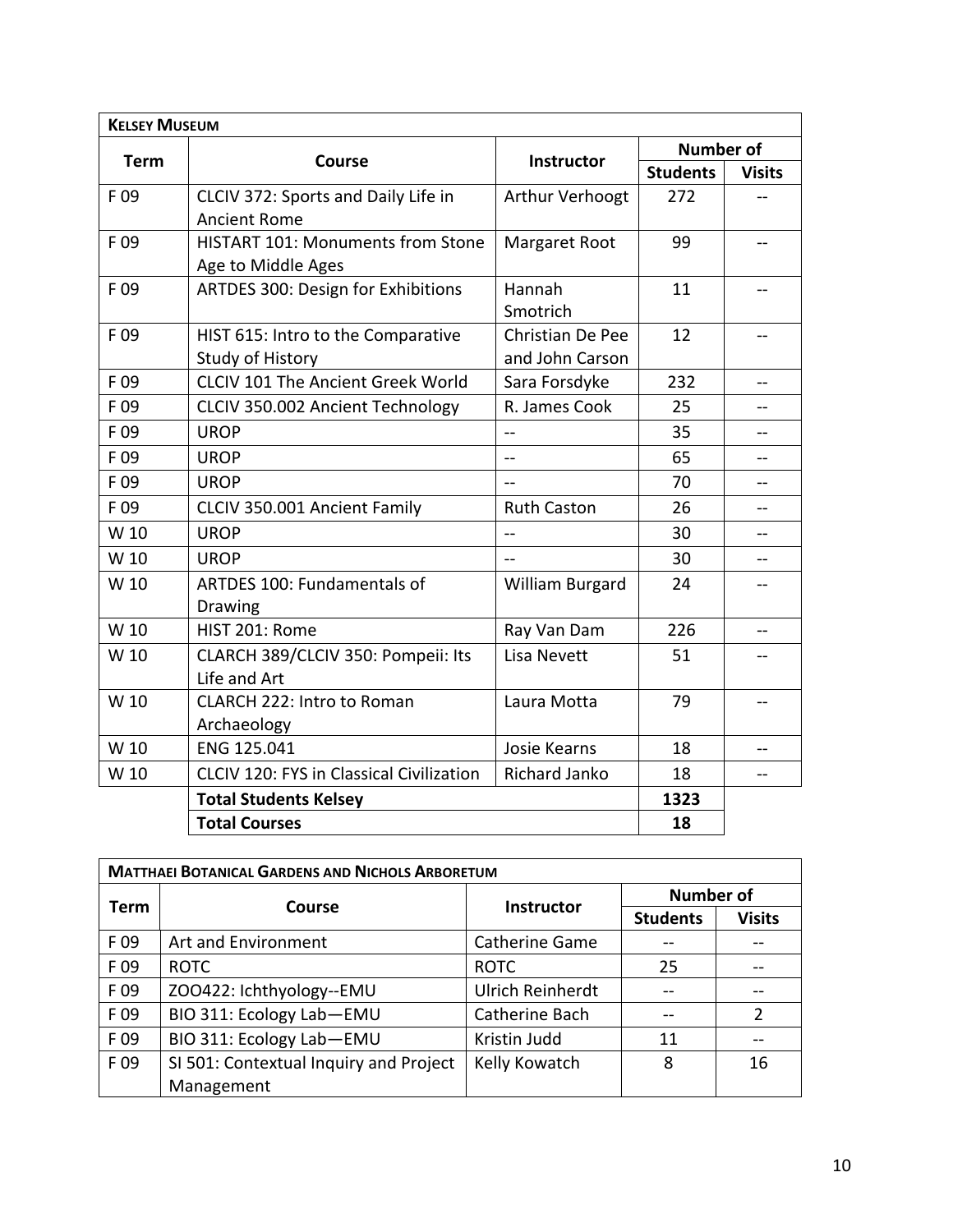| <b>KELSEY MUSEUM</b> |                                                 |                         |                  |               |
|----------------------|-------------------------------------------------|-------------------------|------------------|---------------|
|                      |                                                 |                         | <b>Number of</b> |               |
| <b>Term</b>          | <b>Course</b>                                   | <b>Instructor</b>       | <b>Students</b>  | <b>Visits</b> |
| F 09                 | CLCIV 372: Sports and Daily Life in             | Arthur Verhoogt         | 272              |               |
|                      | <b>Ancient Rome</b>                             |                         |                  |               |
| F09                  | <b>HISTART 101: Monuments from Stone</b>        | Margaret Root           | 99               |               |
|                      | Age to Middle Ages                              |                         |                  |               |
| F 09                 | ARTDES 300: Design for Exhibitions              | Hannah                  | 11               | --            |
|                      |                                                 | Smotrich                |                  |               |
| F 09                 | HIST 615: Intro to the Comparative              | <b>Christian De Pee</b> | 12               | --            |
|                      | Study of History                                | and John Carson         |                  |               |
| F 09                 | <b>CLCIV 101 The Ancient Greek World</b>        | Sara Forsdyke           | 232              | --            |
| F 09                 | CLCIV 350.002 Ancient Technology                | R. James Cook           | 25               |               |
| F 09                 | <b>UROP</b>                                     | $-$                     | 35               |               |
| F09                  | <b>UROP</b>                                     | $\equiv$                | 65               | --            |
| F 09                 | <b>UROP</b>                                     | $\overline{a}$          | 70               | --            |
| F 09                 | CLCIV 350.001 Ancient Family                    | <b>Ruth Caston</b>      | 26               |               |
| W 10                 | <b>UROP</b>                                     | $\equiv$                | 30               |               |
| W 10                 | <b>UROP</b>                                     | $\sim$                  | 30               | --            |
| W 10                 | ARTDES 100: Fundamentals of                     | William Burgard         | 24               |               |
|                      | Drawing                                         |                         |                  |               |
| W 10                 | HIST 201: Rome                                  | Ray Van Dam             | 226              | --            |
| W 10                 | CLARCH 389/CLCIV 350: Pompeii: Its              | Lisa Nevett             | 51               |               |
|                      | Life and Art                                    |                         |                  |               |
| W 10                 | <b>CLARCH 222: Intro to Roman</b>               | Laura Motta             | 79               | --            |
|                      | Archaeology                                     |                         |                  |               |
| W 10                 | ENG 125.041                                     | Josie Kearns            | 18               |               |
| W 10                 | <b>CLCIV 120: FYS in Classical Civilization</b> | Richard Janko           | 18               | $-$           |
|                      | <b>Total Students Kelsey</b>                    |                         | 1323             |               |
|                      | <b>Total Courses</b>                            |                         | 18               |               |

| <b>MATTHAEI BOTANICAL GARDENS AND NICHOLS ARBORETUM</b> |                                        |                         |                  |               |
|---------------------------------------------------------|----------------------------------------|-------------------------|------------------|---------------|
|                                                         | Course                                 | <b>Instructor</b>       | <b>Number of</b> |               |
| <b>Term</b>                                             |                                        |                         | <b>Students</b>  | <b>Visits</b> |
| F 09                                                    | Art and Environment                    | <b>Catherine Game</b>   |                  |               |
| F09                                                     | <b>ROTC</b>                            | <b>ROTC</b>             | 25               |               |
| F 09                                                    | ZOO422: Ichthyology--EMU               | <b>Ulrich Reinherdt</b> |                  |               |
| F 09                                                    | BIO 311: Ecology Lab-EMU               | Catherine Bach          |                  |               |
| F 09                                                    | BIO 311: Ecology Lab-EMU               | Kristin Judd            | 11               |               |
| F 09                                                    | SI 501: Contextual Inquiry and Project | Kelly Kowatch           | 8                | 16            |
|                                                         | Management                             |                         |                  |               |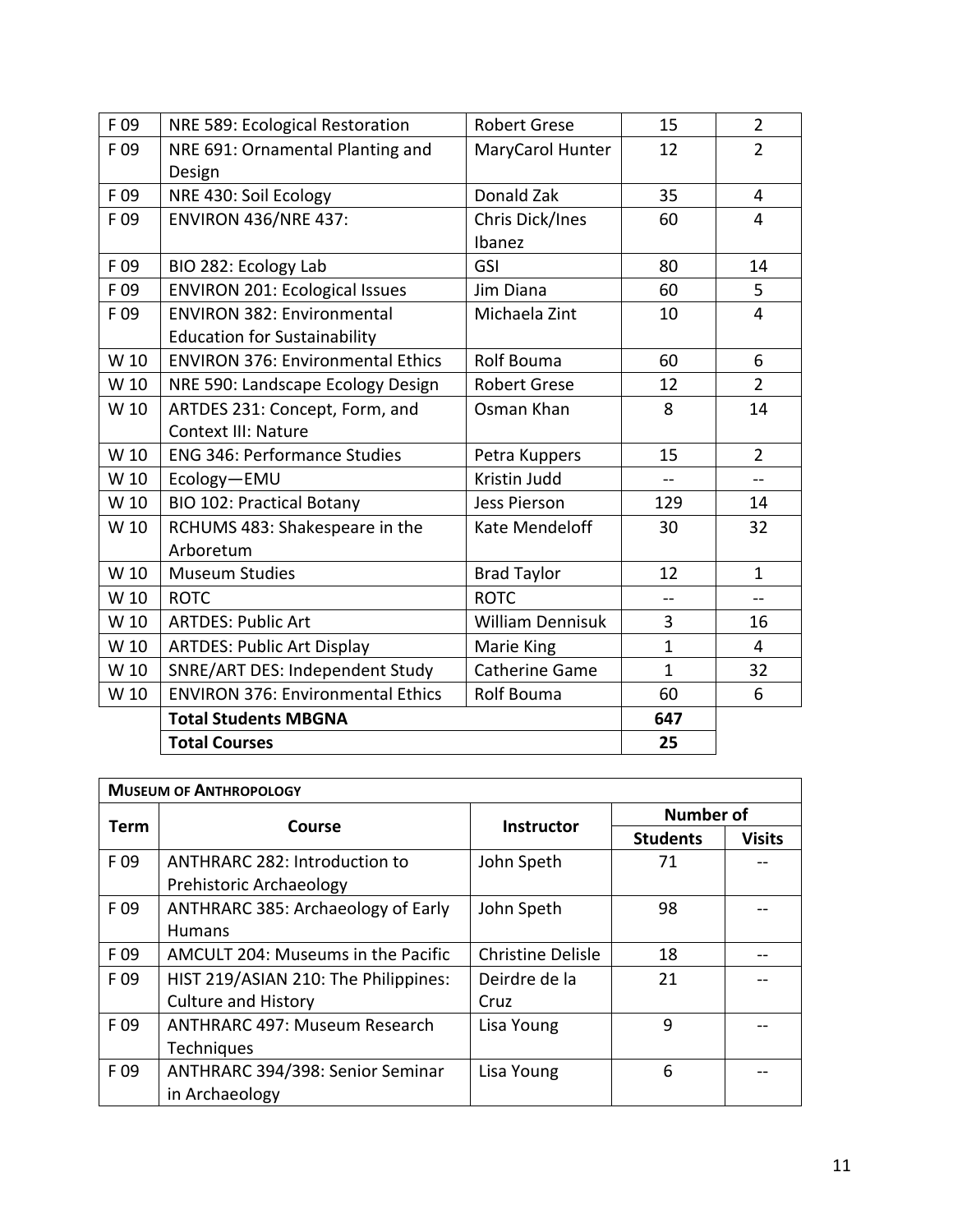| F 09 | NRE 589: Ecological Restoration          | <b>Robert Grese</b>     | 15             | $\overline{2}$ |
|------|------------------------------------------|-------------------------|----------------|----------------|
| F 09 | NRE 691: Ornamental Planting and         | MaryCarol Hunter        | 12             | $\overline{2}$ |
|      | Design                                   |                         |                |                |
| F 09 | NRE 430: Soil Ecology                    | Donald Zak              | 35             | 4              |
| F 09 | <b>ENVIRON 436/NRE 437:</b>              | Chris Dick/Ines         | 60             | 4              |
|      |                                          | Ibanez                  |                |                |
| F 09 | BIO 282: Ecology Lab                     | GSI                     | 80             | 14             |
| F 09 | <b>ENVIRON 201: Ecological Issues</b>    | Jim Diana               | 60             | 5              |
| F 09 | <b>ENVIRON 382: Environmental</b>        | Michaela Zint           | 10             | $\overline{4}$ |
|      | <b>Education for Sustainability</b>      |                         |                |                |
| W 10 | <b>ENVIRON 376: Environmental Ethics</b> | Rolf Bouma              | 60             | 6              |
| W 10 | NRE 590: Landscape Ecology Design        | <b>Robert Grese</b>     | 12             | $\overline{2}$ |
| W 10 | ARTDES 231: Concept, Form, and           | Osman Khan              | 8              | 14             |
|      | <b>Context III: Nature</b>               |                         |                |                |
| W 10 | <b>ENG 346: Performance Studies</b>      | Petra Kuppers           | 15             | $\overline{2}$ |
| W 10 | Ecology-EMU                              | Kristin Judd            | $\overline{a}$ |                |
| W 10 | <b>BIO 102: Practical Botany</b>         | <b>Jess Pierson</b>     | 129            | 14             |
| W 10 | RCHUMS 483: Shakespeare in the           | Kate Mendeloff          | 30             | 32             |
|      | Arboretum                                |                         |                |                |
| W 10 | <b>Museum Studies</b>                    | <b>Brad Taylor</b>      | 12             | $\mathbf{1}$   |
| W 10 | <b>ROTC</b>                              | <b>ROTC</b>             | --             | $-$            |
| W 10 | <b>ARTDES: Public Art</b>                | <b>William Dennisuk</b> | 3              | 16             |
| W 10 | <b>ARTDES: Public Art Display</b>        | Marie King              | $\mathbf{1}$   | 4              |
| W 10 | SNRE/ART DES: Independent Study          | <b>Catherine Game</b>   | $\mathbf{1}$   | 32             |
| W 10 | <b>ENVIRON 376: Environmental Ethics</b> | Rolf Bouma              | 60             | 6              |
|      | <b>Total Students MBGNA</b>              |                         | 647            |                |
|      | <b>Total Courses</b>                     |                         | 25             |                |
|      |                                          |                         |                |                |

|             | <b>MUSEUM OF ANTHROPOLOGY</b>        |                   |                 |                  |  |
|-------------|--------------------------------------|-------------------|-----------------|------------------|--|
| <b>Term</b> | Course                               | Instructor        |                 | <b>Number of</b> |  |
|             |                                      |                   | <b>Students</b> | <b>Visits</b>    |  |
| F 09        | ANTHRARC 282: Introduction to        | John Speth        | 71              |                  |  |
|             | Prehistoric Archaeology              |                   |                 |                  |  |
| F 09        | ANTHRARC 385: Archaeology of Early   | John Speth        | 98              |                  |  |
|             | <b>Humans</b>                        |                   |                 |                  |  |
| F09         | AMCULT 204: Museums in the Pacific   | Christine Delisle | 18              |                  |  |
| F 09        | HIST 219/ASIAN 210: The Philippines: | Deirdre de la     | 21              |                  |  |
|             | <b>Culture and History</b>           | Cruz              |                 |                  |  |
| F 09        | <b>ANTHRARC 497: Museum Research</b> | Lisa Young        | 9               |                  |  |
|             | Techniques                           |                   |                 |                  |  |
| F 09        | ANTHRARC 394/398: Senior Seminar     | Lisa Young        | 6               |                  |  |
|             | in Archaeology                       |                   |                 |                  |  |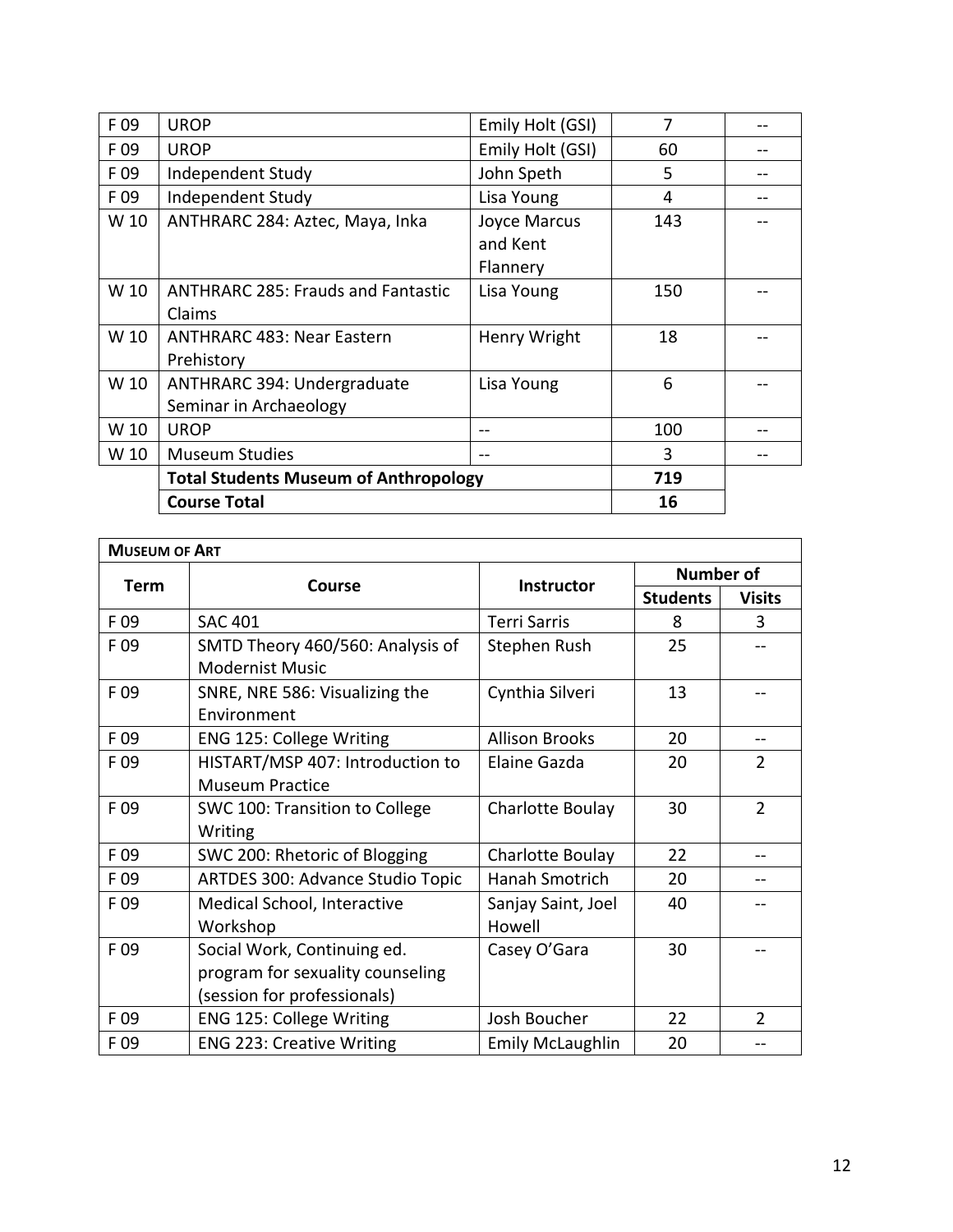| F 09 | <b>UROP</b>                                         | Emily Holt (GSI) | 7   |  |
|------|-----------------------------------------------------|------------------|-----|--|
| F 09 | <b>UROP</b>                                         | Emily Holt (GSI) | 60  |  |
| F 09 | Independent Study                                   | John Speth       | 5   |  |
| F 09 | Independent Study                                   | Lisa Young       | 4   |  |
| W 10 | ANTHRARC 284: Aztec, Maya, Inka                     | Joyce Marcus     | 143 |  |
|      |                                                     | and Kent         |     |  |
|      |                                                     | Flannery         |     |  |
| W 10 | <b>ANTHRARC 285: Frauds and Fantastic</b>           | Lisa Young       | 150 |  |
|      | Claims                                              |                  |     |  |
| W 10 | <b>ANTHRARC 483: Near Eastern</b>                   | Henry Wright     | 18  |  |
|      | Prehistory                                          |                  |     |  |
| W 10 | ANTHRARC 394: Undergraduate                         | Lisa Young       | 6   |  |
|      | Seminar in Archaeology                              |                  |     |  |
| W 10 | <b>UROP</b>                                         |                  | 100 |  |
| W 10 | <b>Museum Studies</b>                               |                  | 3   |  |
|      | <b>Total Students Museum of Anthropology</b><br>719 |                  |     |  |
|      | <b>Course Total</b>                                 |                  | 16  |  |

| <b>MUSEUM OF ART</b> |                                         |                         |                  |                |
|----------------------|-----------------------------------------|-------------------------|------------------|----------------|
|                      |                                         |                         | <b>Number of</b> |                |
| <b>Term</b>          | Course                                  | Instructor              | <b>Students</b>  | <b>Visits</b>  |
| F 09                 | <b>SAC 401</b>                          | <b>Terri Sarris</b>     | 8                | 3              |
| F 09                 | SMTD Theory 460/560: Analysis of        | Stephen Rush            | 25               |                |
|                      | <b>Modernist Music</b>                  |                         |                  |                |
| F 09                 | SNRE, NRE 586: Visualizing the          | Cynthia Silveri         | 13               |                |
|                      | Environment                             |                         |                  |                |
| F 09                 | <b>ENG 125: College Writing</b>         | <b>Allison Brooks</b>   | 20               |                |
| F 09                 | HISTART/MSP 407: Introduction to        | Elaine Gazda            | 20               | $\overline{2}$ |
|                      | <b>Museum Practice</b>                  |                         |                  |                |
| F 09                 | SWC 100: Transition to College          | Charlotte Boulay        | 30               | $\overline{2}$ |
|                      | Writing                                 |                         |                  |                |
| F 09                 | SWC 200: Rhetoric of Blogging           | Charlotte Boulay        | 22               | --             |
| F 09                 | <b>ARTDES 300: Advance Studio Topic</b> | Hanah Smotrich          | 20               |                |
| F09                  | Medical School, Interactive             | Sanjay Saint, Joel      | 40               |                |
|                      | Workshop                                | Howell                  |                  |                |
| F 09                 | Social Work, Continuing ed.             | Casey O'Gara            | 30               |                |
|                      | program for sexuality counseling        |                         |                  |                |
|                      | (session for professionals)             |                         |                  |                |
| F 09                 | <b>ENG 125: College Writing</b>         | Josh Boucher            | 22               | $\overline{2}$ |
| F 09                 | <b>ENG 223: Creative Writing</b>        | <b>Emily McLaughlin</b> | 20               |                |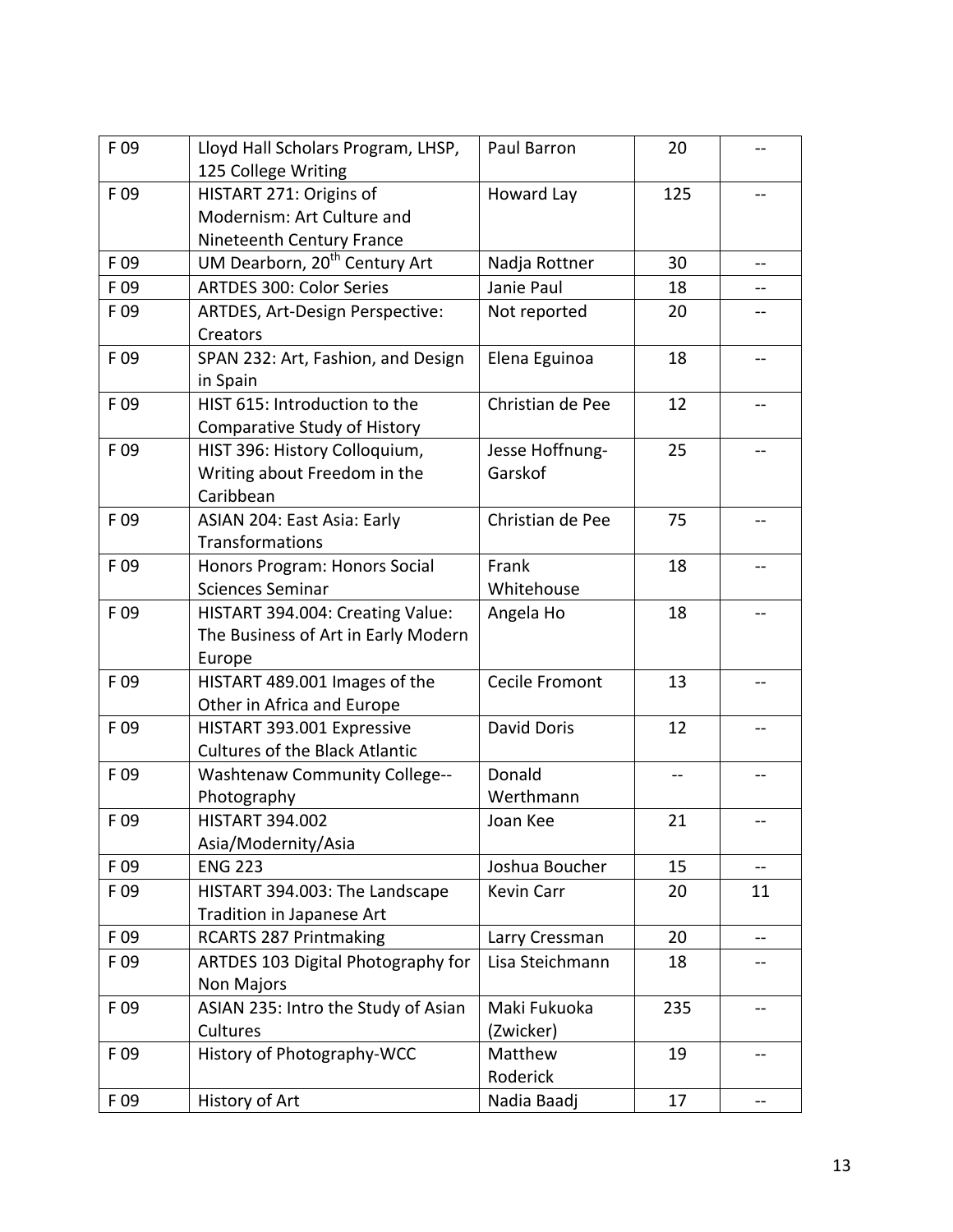| F 09            | Lloyd Hall Scholars Program, LHSP,        | Paul Barron        | 20  |     |
|-----------------|-------------------------------------------|--------------------|-----|-----|
|                 | 125 College Writing                       |                    |     |     |
| F 09            | HISTART 271: Origins of                   | Howard Lay         | 125 | --  |
|                 | Modernism: Art Culture and                |                    |     |     |
|                 | Nineteenth Century France                 |                    |     |     |
| F 09            | UM Dearborn, 20 <sup>th</sup> Century Art | Nadja Rottner      | 30  | --  |
| F 09            | <b>ARTDES 300: Color Series</b>           | Janie Paul         | 18  |     |
| F 09            | ARTDES, Art-Design Perspective:           | Not reported       | 20  |     |
|                 | <b>Creators</b>                           |                    |     |     |
| F 09            | SPAN 232: Art, Fashion, and Design        | Elena Eguinoa      | 18  | --  |
|                 | in Spain                                  |                    |     |     |
| F 09            | HIST 615: Introduction to the             | Christian de Pee   | 12  |     |
|                 | Comparative Study of History              |                    |     |     |
| F09             | HIST 396: History Colloquium,             | Jesse Hoffnung-    | 25  |     |
|                 | Writing about Freedom in the              | Garskof            |     |     |
|                 | Caribbean                                 |                    |     |     |
| F09             | ASIAN 204: East Asia: Early               | Christian de Pee   | 75  | --  |
|                 | Transformations                           |                    |     |     |
| F 09            | Honors Program: Honors Social             | Frank              | 18  | --  |
|                 | <b>Sciences Seminar</b>                   | Whitehouse         |     |     |
| F 09            | HISTART 394.004: Creating Value:          | Angela Ho          | 18  |     |
|                 | The Business of Art in Early Modern       |                    |     |     |
|                 | Europe                                    |                    |     |     |
| F09             | HISTART 489.001 Images of the             | Cecile Fromont     | 13  |     |
|                 | Other in Africa and Europe                |                    |     |     |
| F 09            | HISTART 393.001 Expressive                | <b>David Doris</b> | 12  | --  |
|                 | <b>Cultures of the Black Atlantic</b>     |                    |     |     |
| F <sub>09</sub> | <b>Washtenaw Community College--</b>      | Donald             | --  |     |
|                 | Photography                               | Werthmann          |     |     |
| F 09            | <b>HISTART 394.002</b>                    | Joan Kee           | 21  |     |
|                 |                                           |                    |     | --  |
|                 | Asia/Modernity/Asia<br><b>ENG 223</b>     |                    |     |     |
| F 09            |                                           | Joshua Boucher     | 15  | --  |
| F 09            | HISTART 394.003: The Landscape            | Kevin Carr         | 20  | 11  |
|                 | Tradition in Japanese Art                 |                    |     |     |
| F 09            | <b>RCARTS 287 Printmaking</b>             | Larry Cressman     | 20  | --  |
| F 09            | ARTDES 103 Digital Photography for        | Lisa Steichmann    | 18  |     |
|                 | Non Majors                                |                    |     |     |
| F 09            | ASIAN 235: Intro the Study of Asian       | Maki Fukuoka       | 235 | --  |
|                 | Cultures                                  | (Zwicker)          |     |     |
| F 09            | History of Photography-WCC                | Matthew            | 19  | --  |
|                 |                                           | Roderick           |     |     |
| F 09            | History of Art                            | Nadia Baadj        | 17  | $-$ |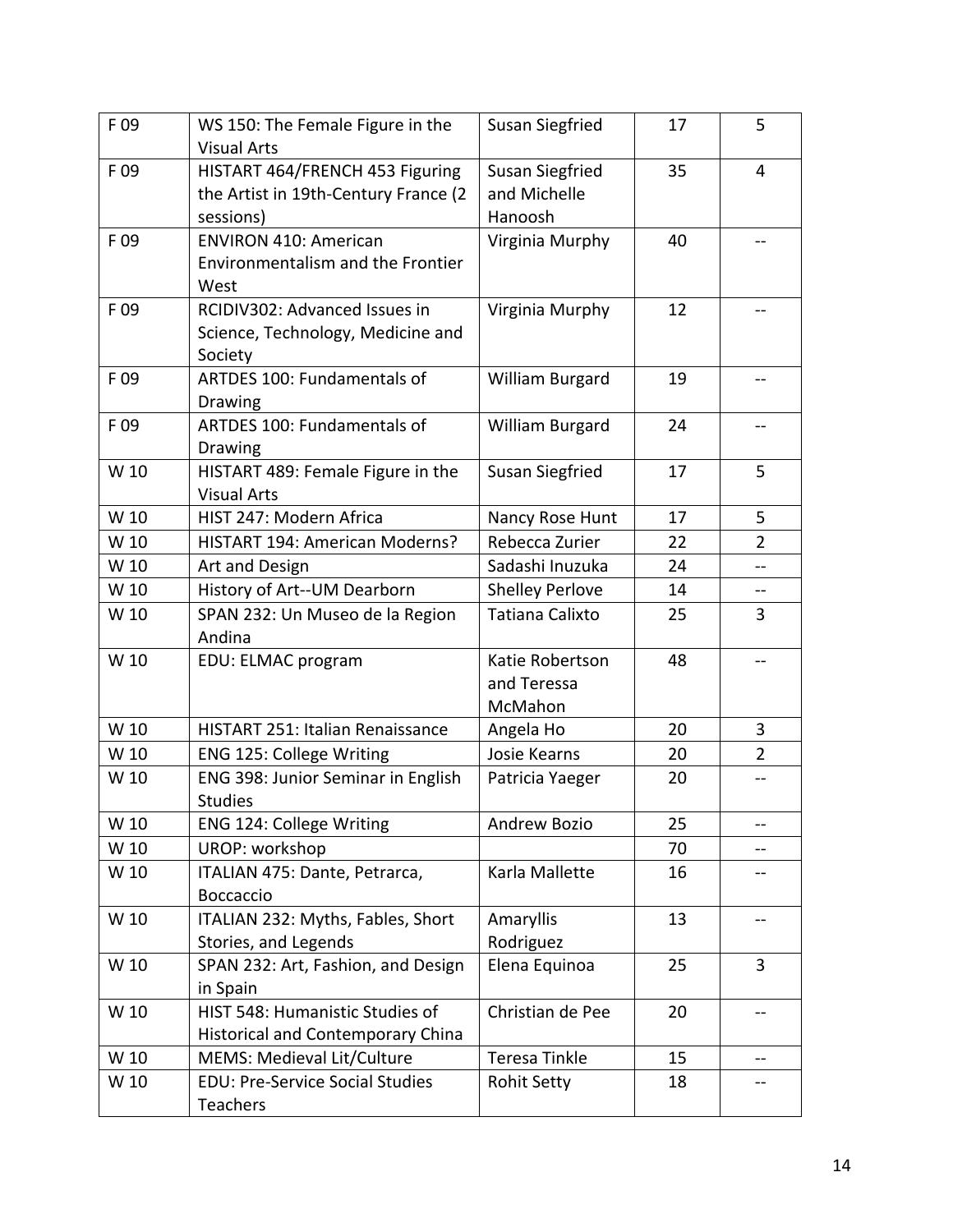| F 09 | WS 150: The Female Figure in the<br><b>Visual Arts</b>                               | Susan Siegfried                                   | 17 | 5              |
|------|--------------------------------------------------------------------------------------|---------------------------------------------------|----|----------------|
| F09  | HISTART 464/FRENCH 453 Figuring<br>the Artist in 19th-Century France (2<br>sessions) | <b>Susan Siegfried</b><br>and Michelle<br>Hanoosh | 35 | 4              |
| F 09 | <b>ENVIRON 410: American</b><br>Environmentalism and the Frontier<br>West            | Virginia Murphy                                   | 40 |                |
| F 09 | RCIDIV302: Advanced Issues in<br>Science, Technology, Medicine and<br>Society        | Virginia Murphy                                   | 12 | --             |
| F 09 | ARTDES 100: Fundamentals of<br>Drawing                                               | William Burgard                                   | 19 |                |
| F 09 | ARTDES 100: Fundamentals of<br>Drawing                                               | William Burgard                                   | 24 | --             |
| W 10 | HISTART 489: Female Figure in the<br><b>Visual Arts</b>                              | <b>Susan Siegfried</b>                            | 17 | 5              |
| W 10 | HIST 247: Modern Africa                                                              | Nancy Rose Hunt                                   | 17 | 5              |
| W 10 | HISTART 194: American Moderns?                                                       | Rebecca Zurier                                    | 22 | $\overline{2}$ |
| W 10 | Art and Design                                                                       | Sadashi Inuzuka                                   | 24 |                |
| W 10 | History of Art--UM Dearborn                                                          | <b>Shelley Perlove</b>                            | 14 | --             |
| W 10 | SPAN 232: Un Museo de la Region<br>Andina                                            | Tatiana Calixto                                   | 25 | 3              |
| W 10 | EDU: ELMAC program                                                                   | Katie Robertson<br>and Teressa<br>McMahon         | 48 |                |
| W 10 | <b>HISTART 251: Italian Renaissance</b>                                              | Angela Ho                                         | 20 | 3              |
| W 10 | <b>ENG 125: College Writing</b>                                                      | Josie Kearns                                      | 20 | $\overline{2}$ |
| W 10 | ENG 398: Junior Seminar in English<br><b>Studies</b>                                 | Patricia Yaeger                                   | 20 | --             |
| W 10 | ENG 124: College Writing                                                             | Andrew Bozio                                      | 25 | --             |
| W 10 | <b>UROP: workshop</b>                                                                |                                                   | 70 |                |
| W 10 | ITALIAN 475: Dante, Petrarca,<br>Boccaccio                                           | Karla Mallette                                    | 16 |                |
| W 10 | ITALIAN 232: Myths, Fables, Short<br>Stories, and Legends                            | Amaryllis<br>Rodriguez                            | 13 | --             |
| W 10 | SPAN 232: Art, Fashion, and Design<br>in Spain                                       | Elena Equinoa                                     | 25 | 3              |
| W 10 | HIST 548: Humanistic Studies of<br><b>Historical and Contemporary China</b>          | Christian de Pee                                  | 20 | --             |
| W 10 | MEMS: Medieval Lit/Culture                                                           | Teresa Tinkle                                     | 15 | --             |
| W 10 | <b>EDU: Pre-Service Social Studies</b><br>Teachers                                   | <b>Rohit Setty</b>                                | 18 | --             |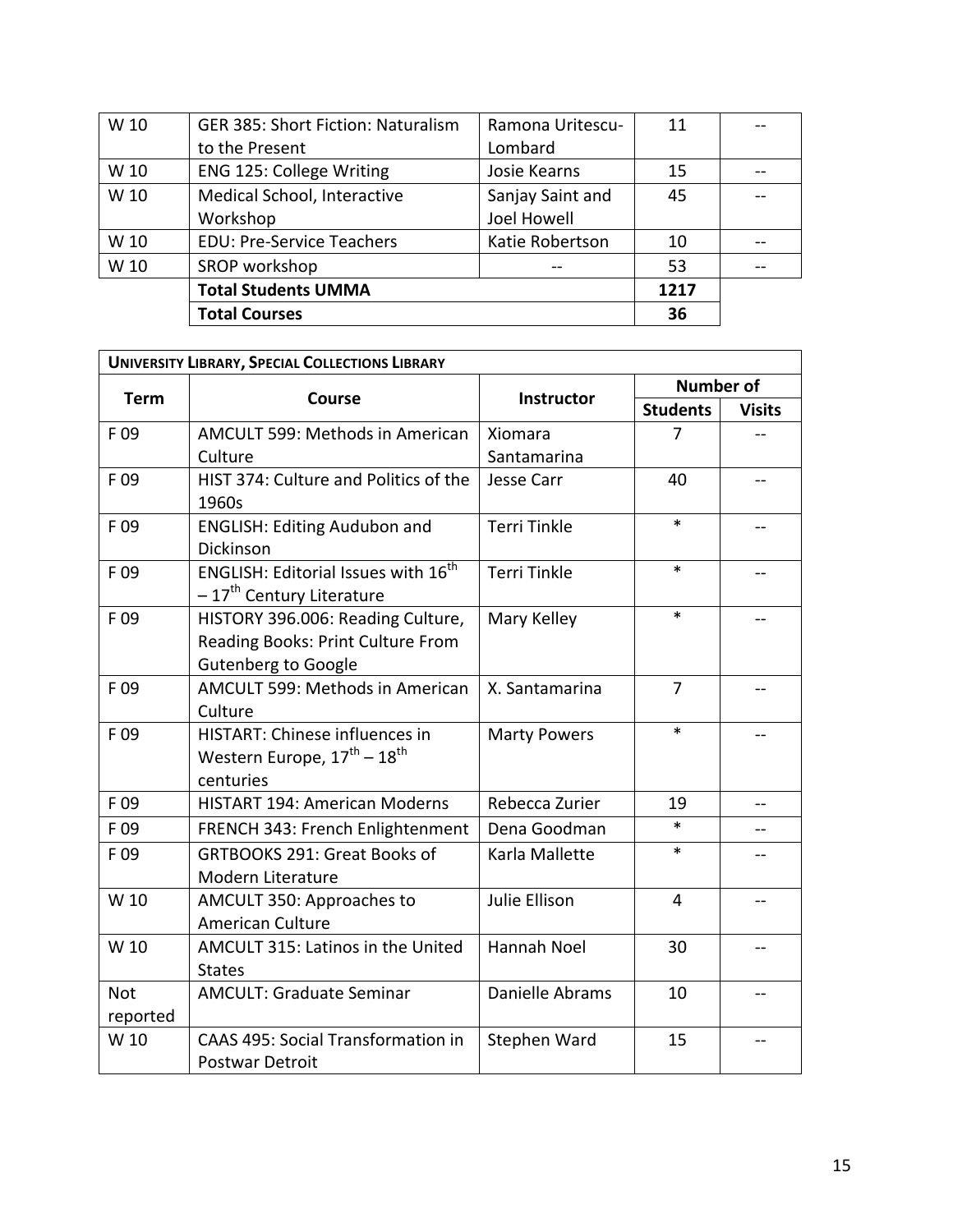| W 10 | <b>GER 385: Short Fiction: Naturalism</b> | Ramona Uritescu- | 11   |  |
|------|-------------------------------------------|------------------|------|--|
|      | to the Present                            | Lombard          |      |  |
| W 10 | ENG 125: College Writing                  | Josie Kearns     | 15   |  |
| W 10 | Medical School, Interactive               | Sanjay Saint and | 45   |  |
|      | Workshop                                  | Joel Howell      |      |  |
| W 10 | <b>EDU: Pre-Service Teachers</b>          | Katie Robertson  | 10   |  |
| W 10 | SROP workshop                             |                  | 53   |  |
|      | <b>Total Students UMMA</b>                |                  | 1217 |  |
|      | <b>Total Courses</b>                      |                  | 36   |  |

| <b>UNIVERSITY LIBRARY, SPECIAL COLLECTIONS LIBRARY</b> |                                                   |                     |                  |               |
|--------------------------------------------------------|---------------------------------------------------|---------------------|------------------|---------------|
| <b>Term</b>                                            | <b>Course</b>                                     |                     | <b>Number of</b> |               |
|                                                        |                                                   | Instructor          | <b>Students</b>  | <b>Visits</b> |
| F 09                                                   | AMCULT 599: Methods in American                   | Xiomara             | 7                |               |
|                                                        | Culture                                           | Santamarina         |                  |               |
| F 09                                                   | HIST 374: Culture and Politics of the             | Jesse Carr          | 40               | $-$           |
|                                                        | 1960s                                             |                     |                  |               |
| F09                                                    | <b>ENGLISH: Editing Audubon and</b>               | <b>Terri Tinkle</b> | $\ast$           |               |
|                                                        | Dickinson                                         |                     |                  |               |
| F09                                                    | ENGLISH: Editorial Issues with 16 <sup>th</sup>   | <b>Terri Tinkle</b> | *                |               |
|                                                        | - 17 <sup>th</sup> Century Literature             |                     |                  |               |
| F09                                                    | HISTORY 396.006: Reading Culture,                 | Mary Kelley         | $\ast$           |               |
|                                                        | Reading Books: Print Culture From                 |                     |                  |               |
|                                                        | <b>Gutenberg to Google</b>                        |                     |                  |               |
| F09                                                    | AMCULT 599: Methods in American                   | X. Santamarina      | $\overline{7}$   |               |
|                                                        | Culture                                           |                     |                  |               |
| F09                                                    | <b>HISTART: Chinese influences in</b>             | <b>Marty Powers</b> | $\ast$           |               |
|                                                        | Western Europe, $17^{\text{th}} - 18^{\text{th}}$ |                     |                  |               |
|                                                        | centuries                                         |                     |                  |               |
| F09                                                    | HISTART 194: American Moderns                     | Rebecca Zurier      | 19               | --            |
| F 09                                                   | FRENCH 343: French Enlightenment                  | Dena Goodman        | $\ast$           |               |
| F09                                                    | <b>GRTBOOKS 291: Great Books of</b>               | Karla Mallette      | $\ast$           |               |
|                                                        | Modern Literature                                 |                     |                  |               |
| W 10                                                   | AMCULT 350: Approaches to                         | Julie Ellison       | $\overline{4}$   |               |
|                                                        | <b>American Culture</b>                           |                     |                  |               |
| W 10                                                   | AMCULT 315: Latinos in the United                 | Hannah Noel         | 30               | --            |
|                                                        | <b>States</b>                                     |                     |                  |               |
| <b>Not</b>                                             | <b>AMCULT: Graduate Seminar</b>                   | Danielle Abrams     | 10               |               |
| reported                                               |                                                   |                     |                  |               |
| W 10                                                   | CAAS 495: Social Transformation in                | Stephen Ward        | 15               | --            |
|                                                        | <b>Postwar Detroit</b>                            |                     |                  |               |